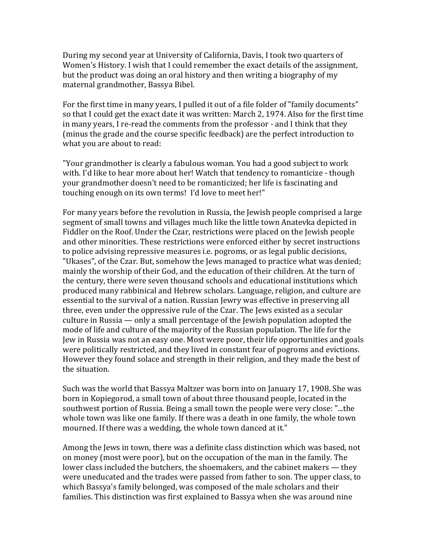During my second year at University of California, Davis, I took two quarters of Women's History. I wish that I could remember the exact details of the assignment, but the product was doing an oral history and then writing a biography of my maternal grandmother, Bassya Bibel.

For the first time in many years, I pulled it out of a file folder of "family documents" so that I could get the exact date it was written: March 2, 1974. Also for the first time in many years, I re-read the comments from the professor - and I think that they (minus the grade and the course specific feedback) are the perfect introduction to what you are about to read:

"Your grandmother is clearly a fabulous woman. You had a good subject to work with. I'd like to hear more about her! Watch that tendency to romanticize - though your grandmother doesn't need to be romanticized; her life is fascinating and touching enough on its own terms! I'd love to meet her!"

For many years before the revolution in Russia, the Jewish people comprised a large segment of small towns and villages much like the little town Anatevka depicted in Fiddler on the Roof. Under the Czar, restrictions were placed on the Jewish people and other minorities. These restrictions were enforced either by secret instructions to police advising repressive measures i.e. pogroms, or as legal public decisions, "Ukases", of the Czar. But, somehow the Jews managed to practice what was denied; mainly the worship of their God, and the education of their children. At the turn of the century, there were seven thousand schools and educational institutions which produced many rabbinical and Hebrew scholars. Language, religion, and culture are essential to the survival of a nation. Russian Jewry was effective in preserving all three, even under the oppressive rule of the Czar. The Jews existed as a secular culture in Russia — only a small percentage of the Jewish population adopted the mode of life and culture of the majority of the Russian population. The life for the Jew in Russia was not an easy one. Most were poor, their life opportunities and goals were politically restricted, and they lived in constant fear of pogroms and evictions. However they found solace and strength in their religion, and they made the best of the situation.

Such was the world that Bassya Maltzer was born into on January 17, 1908. She was born in Kopiegorod, a small town of about three thousand people, located in the southwest portion of Russia. Being a small town the people were very close: "...the whole town was like one family. If there was a death in one family, the whole town mourned. If there was a wedding, the whole town danced at it."

Among the Jews in town, there was a definite class distinction which was based, not on money (most were poor), but on the occupation of the man in the family. The lower class included the butchers, the shoemakers, and the cabinet makers  $-$  they were uneducated and the trades were passed from father to son. The upper class, to which Bassya's family belonged, was composed of the male scholars and their families. This distinction was first explained to Bassya when she was around nine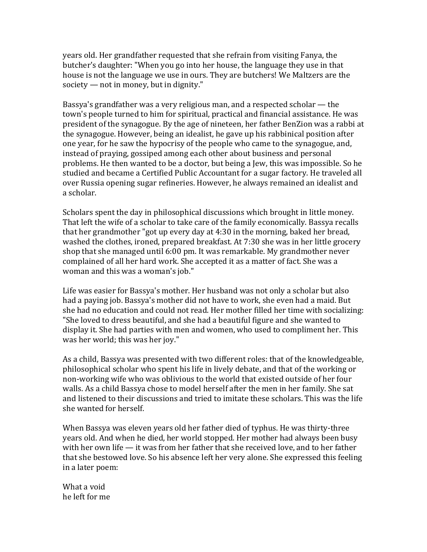years old. Her grandfather requested that she refrain from visiting Fanya, the butcher's daughter: "When you go into her house, the language they use in that house is not the language we use in ours. They are butchers! We Maltzers are the society  $-$  not in money, but in dignity."

Bassya's grandfather was a very religious man, and a respected scholar  $-$  the town's people turned to him for spiritual, practical and financial assistance. He was president of the synagogue. By the age of nineteen, her father BenZion was a rabbi at the synagogue. However, being an idealist, he gave up his rabbinical position after one year, for he saw the hypocrisy of the people who came to the synagogue, and, instead of praying, gossiped among each other about business and personal problems. He then wanted to be a doctor, but being a Jew, this was impossible. So he studied and became a Certified Public Accountant for a sugar factory. He traveled all over Russia opening sugar refineries. However, he always remained an idealist and a scholar.

Scholars spent the day in philosophical discussions which brought in little money. That left the wife of a scholar to take care of the family economically. Bassya recalls that her grandmother "got up every day at  $4:30$  in the morning, baked her bread, washed the clothes, ironed, prepared breakfast. At 7:30 she was in her little grocery shop that she managed until 6:00 pm. It was remarkable. My grandmother never complained of all her hard work. She accepted it as a matter of fact. She was a woman and this was a woman's job."

Life was easier for Bassya's mother. Her husband was not only a scholar but also had a paying job. Bassya's mother did not have to work, she even had a maid. But she had no education and could not read. Her mother filled her time with socializing: "She loved to dress beautiful, and she had a beautiful figure and she wanted to display it. She had parties with men and women, who used to compliment her. This was her world; this was her joy."

As a child, Bassya was presented with two different roles: that of the knowledgeable, philosophical scholar who spent his life in lively debate, and that of the working or non-working wife who was oblivious to the world that existed outside of her four walls. As a child Bassya chose to model herself after the men in her family. She sat and listened to their discussions and tried to imitate these scholars. This was the life she wanted for herself.

When Bassya was eleven years old her father died of typhus. He was thirty-three years old. And when he died, her world stopped. Her mother had always been busy with her own life  $-$  it was from her father that she received love, and to her father that she bestowed love. So his absence left her very alone. She expressed this feeling in a later poem:

What a void he left for me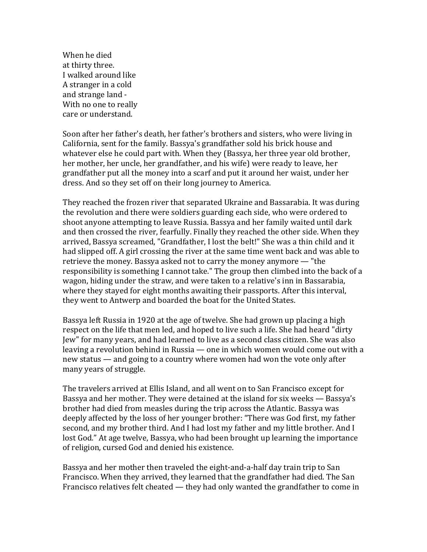When he died at thirty three. I walked around like A stranger in a cold and strange land -With no one to really care or understand.

Soon after her father's death, her father's brothers and sisters, who were living in California, sent for the family. Bassya's grandfather sold his brick house and whatever else he could part with. When they (Bassya, her three year old brother, her mother, her uncle, her grandfather, and his wife) were ready to leave, her grandfather put all the money into a scarf and put it around her waist, under her dress. And so they set off on their long journey to America.

They reached the frozen river that separated Ukraine and Bassarabia. It was during the revolution and there were soldiers guarding each side, who were ordered to shoot anyone attempting to leave Russia. Bassya and her family waited until dark and then crossed the river, fearfully. Finally they reached the other side. When they arrived, Bassya screamed, "Grandfather, I lost the belt!" She was a thin child and it had slipped off. A girl crossing the river at the same time went back and was able to retrieve the money. Bassya asked not to carry the money anymore  $-$  "the responsibility is something I cannot take." The group then climbed into the back of a wagon, hiding under the straw, and were taken to a relative's inn in Bassarabia, where they stayed for eight months awaiting their passports. After this interval, they went to Antwerp and boarded the boat for the United States.

Bassya left Russia in 1920 at the age of twelve. She had grown up placing a high respect on the life that men led, and hoped to live such a life. She had heard "dirty Jew" for many years, and had learned to live as a second class citizen. She was also leaving a revolution behind in Russia  $-$  one in which women would come out with a new status — and going to a country where women had won the vote only after many years of struggle.

The travelers arrived at Ellis Island, and all went on to San Francisco except for Bassya and her mother. They were detained at the island for six weeks  $-$  Bassya's brother had died from measles during the trip across the Atlantic. Bassya was deeply affected by the loss of her younger brother: "There was God first, my father second, and my brother third. And I had lost my father and my little brother. And I lost God." At age twelve, Bassya, who had been brought up learning the importance of religion, cursed God and denied his existence.

Bassya and her mother then traveled the eight-and-a-half day train trip to San Francisco. When they arrived, they learned that the grandfather had died. The San Francisco relatives felt cheated  $-$  they had only wanted the grandfather to come in